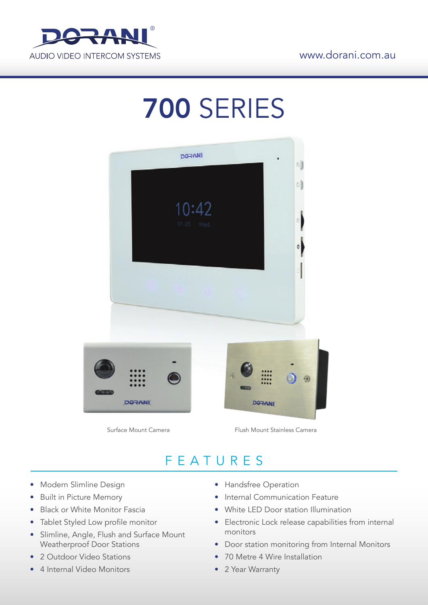

# 700 SERIES



Surface Mount Camera **Flush Mount Stainless Camera** 

## FEATURES

- Modern Slimline Design
- Built in Picture Memory
- Black or White Monitor Fascia
- Tablet Styled Low profile monitor
- Slimline, Angle, Flush and Surface Mount Weatherproof Door Stations
- 2 Outdoor Video Stations
- 4 Internal Video Monitors
- Handsfree Operation
- Internal Communication Feature
- White LED Door station Illumination
- Electronic Lock release capabilities from internal monitors
- Door station monitoring from Internal Monitors
- 70 Metre 4 Wire Installation
- 2 Year Warranty